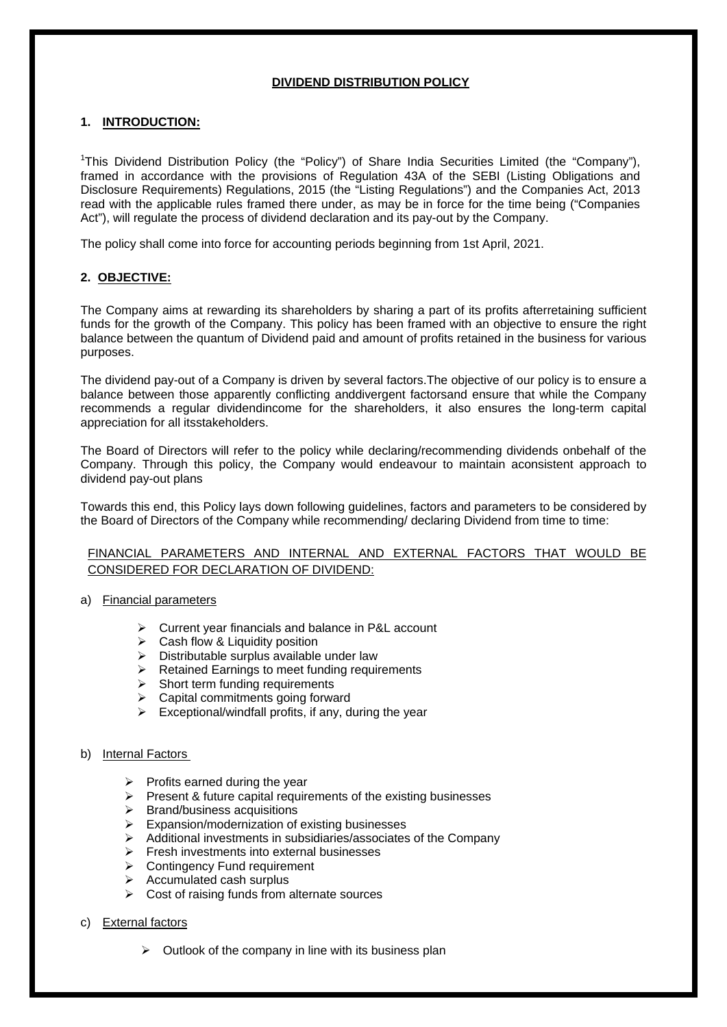# **DIVIDEND DISTRIBUTION POLICY**

# **1. INTRODUCTION:**

<sup>1</sup>This Dividend Distribution Policy (the "Policy") of Share India Securities Limited (the "Company"), framed in accordance with the provisions of Regulation 43A of the SEBI (Listing Obligations and Disclosure Requirements) Regulations, 2015 (the "Listing Regulations") and the Companies Act, 2013 read with the applicable rules framed there under, as may be in force for the time being ("Companies Act"), will regulate the process of dividend declaration and its pay-out by the Company.

The policy shall come into force for accounting periods beginning from 1st April, 2021.

# **2. OBJECTIVE:**

The Company aims at rewarding its shareholders by sharing a part of its profits afterretaining sufficient funds for the growth of the Company. This policy has been framed with an objective to ensure the right balance between the quantum of Dividend paid and amount of profits retained in the business for various purposes.

The dividend pay-out of a Company is driven by several factors.The objective of our policy is to ensure a balance between those apparently conflicting anddivergent factorsand ensure that while the Company recommends a regular dividendincome for the shareholders, it also ensures the long-term capital appreciation for all itsstakeholders.

The Board of Directors will refer to the policy while declaring/recommending dividends onbehalf of the Company. Through this policy, the Company would endeavour to maintain aconsistent approach to dividend pay-out plans

Towards this end, this Policy lays down following guidelines, factors and parameters to be considered by the Board of Directors of the Company while recommending/ declaring Dividend from time to time:

# FINANCIAL PARAMETERS AND INTERNAL AND EXTERNAL FACTORS THAT WOULD BE CONSIDERED FOR DECLARATION OF DIVIDEND:

- a) Financial parameters
	- Current year financials and balance in P&L account
	- $\triangleright$  Cash flow & Liquidity position
	- $\triangleright$  Distributable surplus available under law
	- Retained Earnings to meet funding requirements
	- $\triangleright$  Short term funding requirements
	- Capital commitments going forward
	- $\triangleright$  Exceptional/windfall profits, if any, during the year

## b) Internal Factors

- $\triangleright$  Profits earned during the year
- $\triangleright$  Present & future capital requirements of the existing businesses
- $\triangleright$  Brand/business acquisitions
- $\triangleright$  Expansion/modernization of existing businesses
- $\triangleright$  Additional investments in subsidiaries/associates of the Company
- $\triangleright$  Fresh investments into external businesses
- **►** Contingency Fund requirement
- $\triangleright$  Accumulated cash surplus
- $\triangleright$  Cost of raising funds from alternate sources

# c) External factors

 $\triangleright$  Outlook of the company in line with its business plan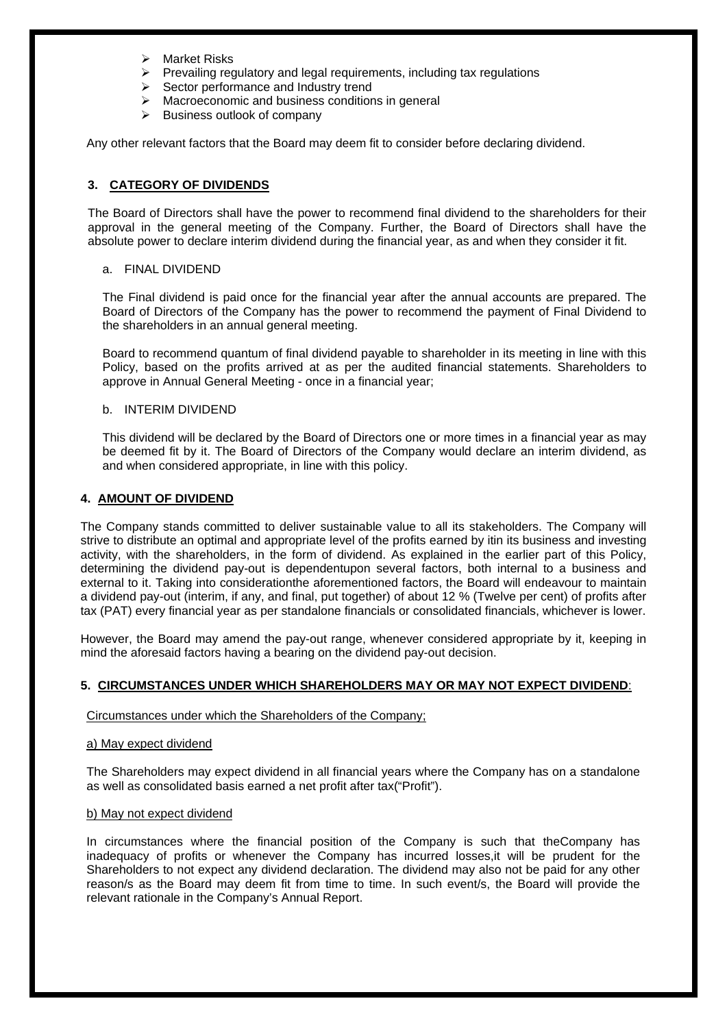- $\triangleright$  Market Risks
- $\triangleright$  Prevailing regulatory and legal requirements, including tax regulations
- $\triangleright$  Sector performance and Industry trend
- $\triangleright$  Macroeconomic and business conditions in general
- $\triangleright$  Business outlook of company

Any other relevant factors that the Board may deem fit to consider before declaring dividend.

# **3. CATEGORY OF DIVIDENDS**

The Board of Directors shall have the power to recommend final dividend to the shareholders for their approval in the general meeting of the Company. Further, the Board of Directors shall have the absolute power to declare interim dividend during the financial year, as and when they consider it fit.

## a. FINAL DIVIDEND

The Final dividend is paid once for the financial year after the annual accounts are prepared. The Board of Directors of the Company has the power to recommend the payment of Final Dividend to the shareholders in an annual general meeting.

Board to recommend quantum of final dividend payable to shareholder in its meeting in line with this Policy, based on the profits arrived at as per the audited financial statements. Shareholders to approve in Annual General Meeting - once in a financial year;

# b. INTERIM DIVIDEND

This dividend will be declared by the Board of Directors one or more times in a financial year as may be deemed fit by it. The Board of Directors of the Company would declare an interim dividend, as and when considered appropriate, in line with this policy.

## **4. AMOUNT OF DIVIDEND**

The Company stands committed to deliver sustainable value to all its stakeholders. The Company will strive to distribute an optimal and appropriate level of the profits earned by itin its business and investing activity, with the shareholders, in the form of dividend. As explained in the earlier part of this Policy, determining the dividend pay-out is dependentupon several factors, both internal to a business and external to it. Taking into considerationthe aforementioned factors, the Board will endeavour to maintain a dividend pay-out (interim, if any, and final, put together) of about 12 % (Twelve per cent) of profits after tax (PAT) every financial year as per standalone financials or consolidated financials, whichever is lower.

However, the Board may amend the pay-out range, whenever considered appropriate by it, keeping in mind the aforesaid factors having a bearing on the dividend pay-out decision.

# **5. CIRCUMSTANCES UNDER WHICH SHAREHOLDERS MAY OR MAY NOT EXPECT DIVIDEND**:

## Circumstances under which the Shareholders of the Company;

## a) May expect dividend

The Shareholders may expect dividend in all financial years where the Company has on a standalone as well as consolidated basis earned a net profit after tax("Profit").

## b) May not expect dividend

In circumstances where the financial position of the Company is such that theCompany has inadequacy of profits or whenever the Company has incurred losses,it will be prudent for the Shareholders to not expect any dividend declaration. The dividend may also not be paid for any other reason/s as the Board may deem fit from time to time. In such event/s, the Board will provide the relevant rationale in the Company's Annual Report.